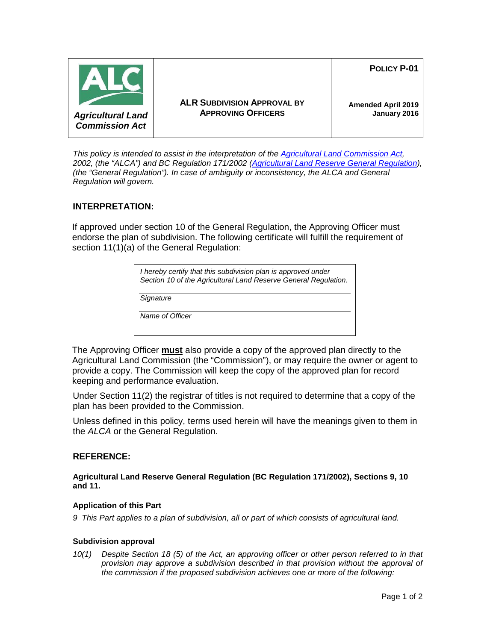

**POLICY P-01**



**ALR SUBDIVISION APPROVAL BY APPROVING OFFICERS**

**Amended April 2019 January 2016**

*This policy is intended to assist in the interpretation of the [Agricultural Land Commission Act,](http://www.bclaws.ca/Recon/document/ID/freeside/00_02036_01) 2002, (the "ALCA") and BC Regulation 171/2002 [\(Agricultural Land Reserve General Regulation\)](http://www.bclaws.ca/civix/document/id/complete/statreg/171_2002), (the "General Regulation"). In case of ambiguity or inconsistency, the ALCA and General Regulation will govern.*

## **INTERPRETATION:**

If approved under section 10 of the General Regulation, the Approving Officer must endorse the plan of subdivision. The following certificate will fulfill the requirement of section 11(1)(a) of the General Regulation:

> *I hereby certify that this subdivision plan is approved under Section 10 of the Agricultural Land Reserve General Regulation.*

*Signature*

*Name of Officer*

The Approving Officer **must** also provide a copy of the approved plan directly to the Agricultural Land Commission (the "Commission"), or may require the owner or agent to provide a copy. The Commission will keep the copy of the approved plan for record keeping and performance evaluation.

Under Section 11(2) the registrar of titles is not required to determine that a copy of the plan has been provided to the Commission.

Unless defined in this policy, terms used herein will have the meanings given to them in the *ALCA* or the General Regulation.

# **REFERENCE:**

**Agricultural Land Reserve General Regulation (BC Regulation 171/2002), Sections 9, 10 and 11.**

### **Application of this Part**

*9 This Part applies to a plan of subdivision, all or part of which consists of agricultural land.*

### **Subdivision approval**

*10(1) Despite Section 18 (5) of the Act, an approving officer or other person referred to in that provision may approve a subdivision described in that provision without the approval of the commission if the proposed subdivision achieves one or more of the following:*